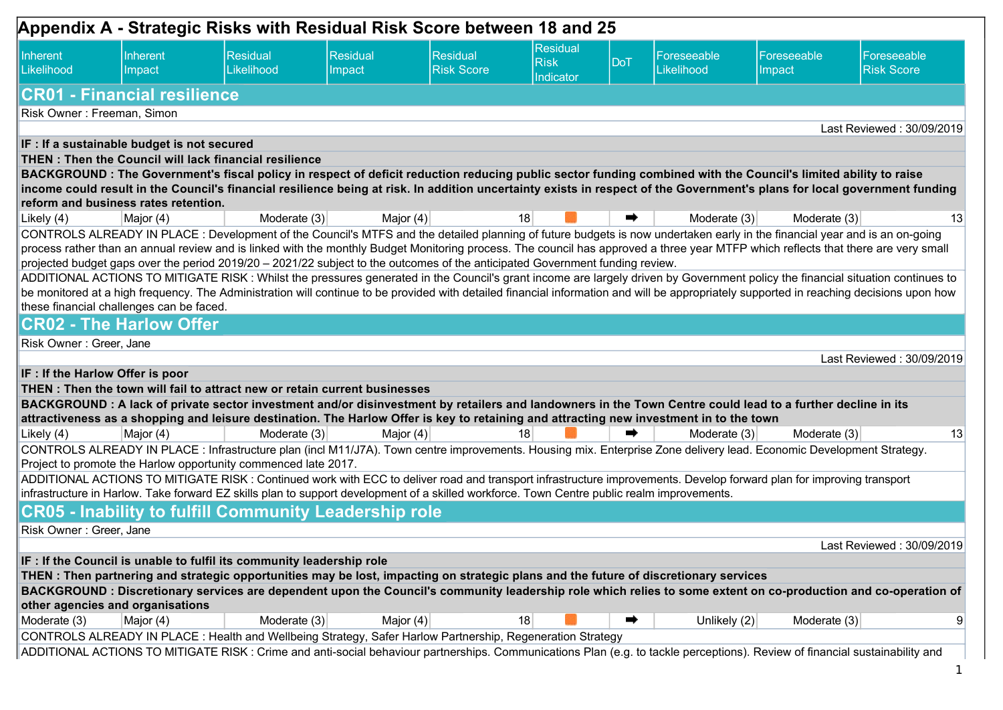| Appendix A - Strategic Risks with Residual Risk Score between 18 and 25 |                                                       |                                                                                                                                                                                                                                                                                                        |                    |                                      |                                      |     |                           |                       |                                                                                                                                                                                          |  |
|-------------------------------------------------------------------------|-------------------------------------------------------|--------------------------------------------------------------------------------------------------------------------------------------------------------------------------------------------------------------------------------------------------------------------------------------------------------|--------------------|--------------------------------------|--------------------------------------|-----|---------------------------|-----------------------|------------------------------------------------------------------------------------------------------------------------------------------------------------------------------------------|--|
| Inherent<br>Likelihood                                                  | Inherent<br>Impact                                    | <b>Residual</b><br>Likelihood                                                                                                                                                                                                                                                                          | Residual<br>Impact | <b>Residual</b><br><b>Risk Score</b> | Residual<br><b>Risk</b><br>Indicator | DoT | Foreseeable<br>Likelihood | Foreseeable<br>Impact | Foreseeable<br><b>Risk Score</b>                                                                                                                                                         |  |
|                                                                         | <b>CR01 - Financial resilience</b>                    |                                                                                                                                                                                                                                                                                                        |                    |                                      |                                      |     |                           |                       |                                                                                                                                                                                          |  |
| Risk Owner: Freeman, Simon                                              |                                                       |                                                                                                                                                                                                                                                                                                        |                    |                                      |                                      |     |                           |                       |                                                                                                                                                                                          |  |
|                                                                         |                                                       |                                                                                                                                                                                                                                                                                                        |                    |                                      |                                      |     |                           |                       | Last Reviewed: 30/09/2019                                                                                                                                                                |  |
|                                                                         | IF : If a sustainable budget is not secured           |                                                                                                                                                                                                                                                                                                        |                    |                                      |                                      |     |                           |                       |                                                                                                                                                                                          |  |
|                                                                         | THEN: Then the Council will lack financial resilience |                                                                                                                                                                                                                                                                                                        |                    |                                      |                                      |     |                           |                       |                                                                                                                                                                                          |  |
|                                                                         |                                                       | BACKGROUND: The Government's fiscal policy in respect of deficit reduction reducing public sector funding combined with the Council's limited ability to raise                                                                                                                                         |                    |                                      |                                      |     |                           |                       | income could result in the Council's financial resilience being at risk. In addition uncertainty exists in respect of the Government's plans for local government funding                |  |
|                                                                         | reform and business rates retention.                  |                                                                                                                                                                                                                                                                                                        |                    |                                      |                                      |     |                           |                       |                                                                                                                                                                                          |  |
| Likely $(4)$                                                            | Major (4)                                             | Moderate $(3)$                                                                                                                                                                                                                                                                                         | Major $(4)$        |                                      | 18                                   | ➡   | Moderate (3)              | Moderate (3)          | 13                                                                                                                                                                                       |  |
|                                                                         |                                                       | CONTROLS ALREADY IN PLACE: Development of the Council's MTFS and the detailed planning of future budgets is now undertaken early in the financial year and is an on-going                                                                                                                              |                    |                                      |                                      |     |                           |                       |                                                                                                                                                                                          |  |
|                                                                         |                                                       |                                                                                                                                                                                                                                                                                                        |                    |                                      |                                      |     |                           |                       | process rather than an annual review and is linked with the monthly Budget Monitoring process. The council has approved a three year MTFP which reflects that there are very small       |  |
|                                                                         |                                                       | projected budget gaps over the period 2019/20 - 2021/22 subject to the outcomes of the anticipated Government funding review.                                                                                                                                                                          |                    |                                      |                                      |     |                           |                       |                                                                                                                                                                                          |  |
|                                                                         |                                                       |                                                                                                                                                                                                                                                                                                        |                    |                                      |                                      |     |                           |                       | ADDITIONAL ACTIONS TO MITIGATE RISK: Whilst the pressures generated in the Council's grant income are largely driven by Government policy the financial situation continues to           |  |
|                                                                         |                                                       |                                                                                                                                                                                                                                                                                                        |                    |                                      |                                      |     |                           |                       | be monitored at a high frequency. The Administration will continue to be provided with detailed financial information and will be appropriately supported in reaching decisions upon how |  |
|                                                                         | these financial challenges can be faced.              |                                                                                                                                                                                                                                                                                                        |                    |                                      |                                      |     |                           |                       |                                                                                                                                                                                          |  |
|                                                                         | <b>CR02 - The Harlow Offer</b>                        |                                                                                                                                                                                                                                                                                                        |                    |                                      |                                      |     |                           |                       |                                                                                                                                                                                          |  |
| Risk Owner: Greer, Jane                                                 |                                                       |                                                                                                                                                                                                                                                                                                        |                    |                                      |                                      |     |                           |                       |                                                                                                                                                                                          |  |
|                                                                         |                                                       |                                                                                                                                                                                                                                                                                                        |                    |                                      |                                      |     |                           |                       | Last Reviewed: 30/09/2019                                                                                                                                                                |  |
| IF : If the Harlow Offer is poor                                        |                                                       |                                                                                                                                                                                                                                                                                                        |                    |                                      |                                      |     |                           |                       |                                                                                                                                                                                          |  |
|                                                                         |                                                       | THEN: Then the town will fail to attract new or retain current businesses                                                                                                                                                                                                                              |                    |                                      |                                      |     |                           |                       |                                                                                                                                                                                          |  |
|                                                                         |                                                       | BACKGROUND : A lack of private sector investment and/or disinvestment by retailers and landowners in the Town Centre could lead to a further decline in its<br>attractiveness as a shopping and leisure destination. The Harlow Offer is key to retaining and attracting new investment in to the town |                    |                                      |                                      |     |                           |                       |                                                                                                                                                                                          |  |
| Likely $(4)$                                                            | Major (4)                                             | Moderate $(3)$                                                                                                                                                                                                                                                                                         | Major $(4)$        |                                      | 18                                   | ➡   | Moderate (3)              | Moderate (3)          | 13                                                                                                                                                                                       |  |
|                                                                         |                                                       | CONTROLS ALREADY IN PLACE: Infrastructure plan (incl M11/J7A). Town centre improvements. Housing mix. Enterprise Zone delivery lead. Economic Development Strategy.                                                                                                                                    |                    |                                      |                                      |     |                           |                       |                                                                                                                                                                                          |  |
|                                                                         |                                                       | Project to promote the Harlow opportunity commenced late 2017.                                                                                                                                                                                                                                         |                    |                                      |                                      |     |                           |                       |                                                                                                                                                                                          |  |
|                                                                         |                                                       | ADDITIONAL ACTIONS TO MITIGATE RISK: Continued work with ECC to deliver road and transport infrastructure improvements. Develop forward plan for improving transport                                                                                                                                   |                    |                                      |                                      |     |                           |                       |                                                                                                                                                                                          |  |
|                                                                         |                                                       | infrastructure in Harlow. Take forward EZ skills plan to support development of a skilled workforce. Town Centre public realm improvements.                                                                                                                                                            |                    |                                      |                                      |     |                           |                       |                                                                                                                                                                                          |  |
|                                                                         |                                                       | <b>CR05 - Inability to fulfill Community Leadership role</b>                                                                                                                                                                                                                                           |                    |                                      |                                      |     |                           |                       |                                                                                                                                                                                          |  |
| Risk Owner: Greer, Jane                                                 |                                                       |                                                                                                                                                                                                                                                                                                        |                    |                                      |                                      |     |                           |                       |                                                                                                                                                                                          |  |
|                                                                         |                                                       |                                                                                                                                                                                                                                                                                                        |                    |                                      |                                      |     |                           |                       | Last Reviewed: 30/09/2019                                                                                                                                                                |  |
|                                                                         |                                                       | IF : If the Council is unable to fulfil its community leadership role                                                                                                                                                                                                                                  |                    |                                      |                                      |     |                           |                       |                                                                                                                                                                                          |  |
|                                                                         |                                                       | THEN: Then partnering and strategic opportunities may be lost, impacting on strategic plans and the future of discretionary services                                                                                                                                                                   |                    |                                      |                                      |     |                           |                       |                                                                                                                                                                                          |  |
|                                                                         |                                                       |                                                                                                                                                                                                                                                                                                        |                    |                                      |                                      |     |                           |                       | BACKGROUND: Discretionary services are dependent upon the Council's community leadership role which relies to some extent on co-production and co-operation of                           |  |
| other agencies and organisations                                        |                                                       |                                                                                                                                                                                                                                                                                                        |                    |                                      |                                      |     |                           |                       |                                                                                                                                                                                          |  |
| Moderate (3)                                                            | Major (4)                                             | Moderate (3)                                                                                                                                                                                                                                                                                           | Major $(4)$        |                                      | 18                                   | ➡   | Unlikely (2)              | Moderate (3)          | 9                                                                                                                                                                                        |  |
|                                                                         |                                                       | CONTROLS ALREADY IN PLACE: Health and Wellbeing Strategy, Safer Harlow Partnership, Regeneration Strategy                                                                                                                                                                                              |                    |                                      |                                      |     |                           |                       |                                                                                                                                                                                          |  |
|                                                                         |                                                       | ADDITIONAL ACTIONS TO MITIGATE RISK : Crime and anti-social behaviour partnerships. Communications Plan (e.g. to tackle perceptions). Review of financial sustainability and                                                                                                                           |                    |                                      |                                      |     |                           |                       |                                                                                                                                                                                          |  |